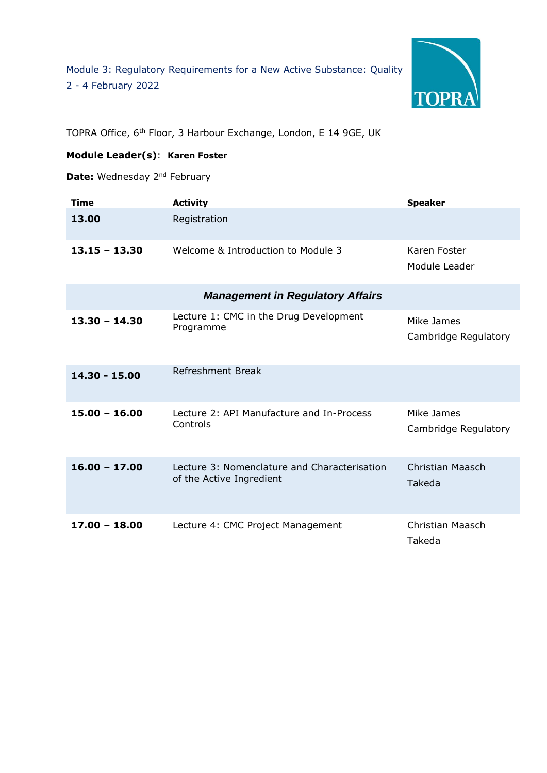

TOPRA Office, 6th Floor, 3 Harbour Exchange, London, E 14 9GE, UK

## **Module Leader(s)**: **Karen Foster**

**Date:** Wednesday 2<sup>nd</sup> February

| <b>Time</b>                             | <b>Activity</b>                                                          | <b>Speaker</b>                     |  |  |
|-----------------------------------------|--------------------------------------------------------------------------|------------------------------------|--|--|
| 13.00                                   | Registration                                                             |                                    |  |  |
| $13.15 - 13.30$                         | Welcome & Introduction to Module 3                                       | Karen Foster<br>Module Leader      |  |  |
| <b>Management in Regulatory Affairs</b> |                                                                          |                                    |  |  |
| $13.30 - 14.30$                         | Lecture 1: CMC in the Drug Development<br>Programme                      | Mike James<br>Cambridge Regulatory |  |  |
| 14.30 - 15.00                           | <b>Refreshment Break</b>                                                 |                                    |  |  |
| $15.00 - 16.00$                         | Lecture 2: API Manufacture and In-Process<br>Controls                    | Mike James<br>Cambridge Regulatory |  |  |
| $16.00 - 17.00$                         | Lecture 3: Nomenclature and Characterisation<br>of the Active Ingredient | Christian Maasch<br>Takeda         |  |  |
| $17.00 - 18.00$                         | Lecture 4: CMC Project Management                                        | <b>Christian Maasch</b><br>Takeda  |  |  |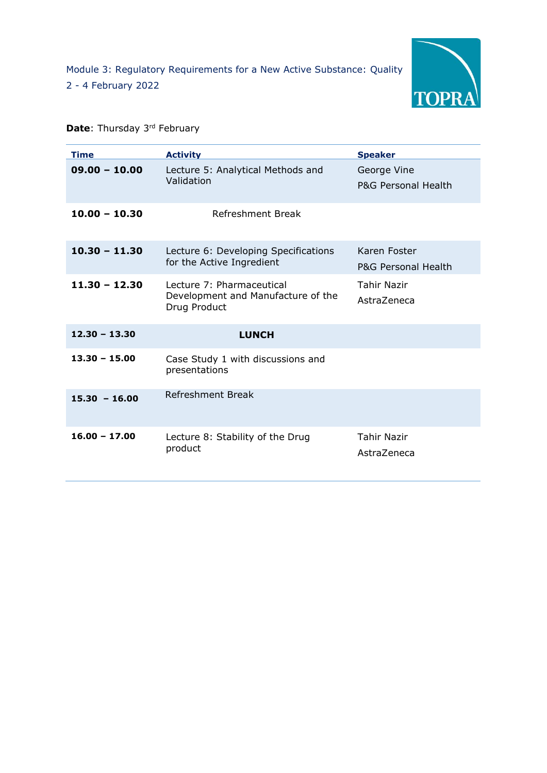

## **Date:** Thursday 3<sup>rd</sup> February

| <b>Time</b>     | <b>Activity</b>                                                                 | <b>Speaker</b>                      |
|-----------------|---------------------------------------------------------------------------------|-------------------------------------|
| $09.00 - 10.00$ | Lecture 5: Analytical Methods and<br>Validation                                 | George Vine<br>P&G Personal Health  |
| $10.00 - 10.30$ | Refreshment Break                                                               |                                     |
| $10.30 - 11.30$ | Lecture 6: Developing Specifications<br>for the Active Ingredient               | Karen Foster<br>P&G Personal Health |
| $11.30 - 12.30$ | Lecture 7: Pharmaceutical<br>Development and Manufacture of the<br>Drug Product | <b>Tahir Nazir</b><br>AstraZeneca   |
| $12.30 - 13.30$ | <b>LUNCH</b>                                                                    |                                     |
| $13.30 - 15.00$ | Case Study 1 with discussions and<br>presentations                              |                                     |
| $15.30 - 16.00$ | Refreshment Break                                                               |                                     |
| $16.00 - 17.00$ | Lecture 8: Stability of the Drug<br>product                                     | <b>Tahir Nazir</b><br>AstraZeneca   |